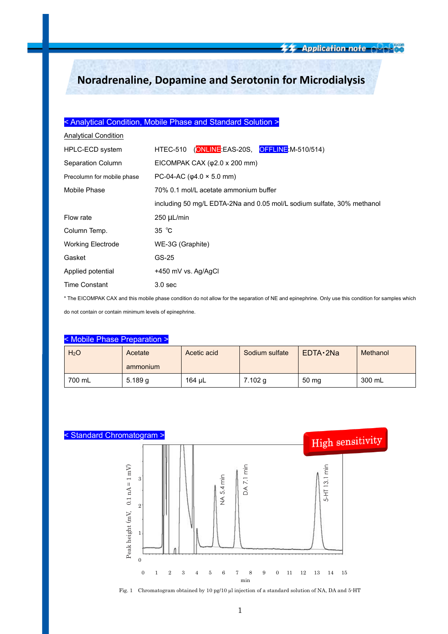# **Noradrenaline, Dopamine and Serotonin for Microdialysis**

## < Analytical Condition, Mobile Phase and Standard Solution >

| <b>Analytical Condition</b> |                                                                        |  |  |
|-----------------------------|------------------------------------------------------------------------|--|--|
| HPLC-ECD system             | HTEC-510 (ONLINE EAS-20S, OFFLINE M-510/514)                           |  |  |
| Separation Column           | EICOMPAK CAX $(\varphi2.0 \times 200 \text{ mm})$                      |  |  |
| Precolumn for mobile phase  | PC-04-AC ( $\varphi$ 4.0 × 5.0 mm)                                     |  |  |
| Mobile Phase                | 70% 0.1 mol/L acetate ammonium buffer                                  |  |  |
|                             | including 50 mg/L EDTA-2Na and 0.05 mol/L sodium sulfate, 30% methanol |  |  |
| Flow rate                   | $250 \mu L/min$                                                        |  |  |
| Column Temp.                | 35 $^{\circ}$ C                                                        |  |  |
| <b>Working Electrode</b>    | WE-3G (Graphite)                                                       |  |  |
| Gasket                      | GS-25                                                                  |  |  |
| Applied potential           | +450 mV vs. Ag/AgCl                                                    |  |  |
| <b>Time Constant</b>        | 3.0 <sub>sec</sub>                                                     |  |  |

\* The EICOMPAK CAX and this mobile phase condition do not allow for the separation of NE and epinephrine. Only use this condition for samples which

do not contain or contain minimum levels of epinephrine.

| < Mobile Phase Preparation > |                     |             |                |                 |          |  |
|------------------------------|---------------------|-------------|----------------|-----------------|----------|--|
| H <sub>2</sub> O             | Acetate<br>ammonium | Acetic acid | Sodium sulfate | EDTA 2Na        | Methanol |  |
| 700 mL                       | 5.189q              | 164 µL      | 7.102 g        | $50 \text{ mg}$ | 300 mL   |  |